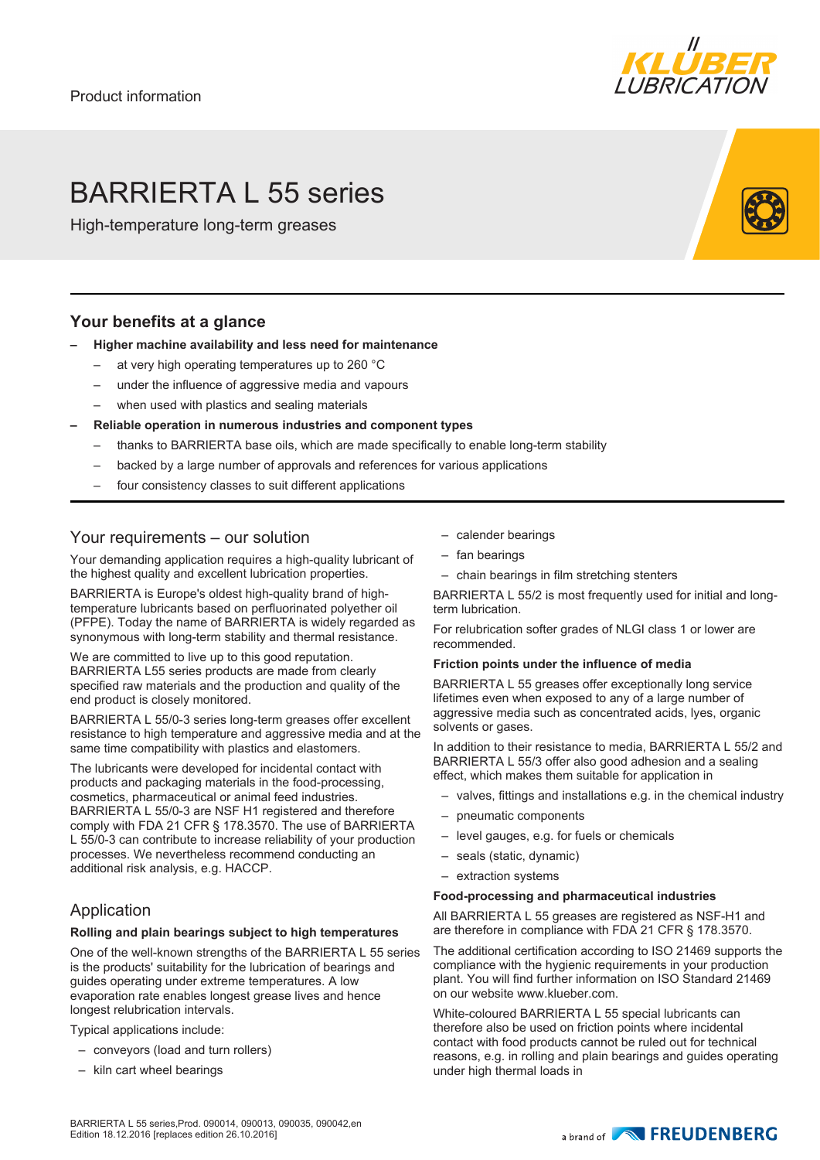

# BARRIERTA L 55 series

High-temperature long-term greases

### **Your benefits at a glance**

- **– Higher machine availability and less need for maintenance**
	- at very high operating temperatures up to 260 °C
	- under the influence of aggressive media and vapours
	- when used with plastics and sealing materials
	- **– Reliable operation in numerous industries and component types**
		- thanks to BARRIERTA base oils, which are made specifically to enable long-term stability
		- backed by a large number of approvals and references for various applications
		- four consistency classes to suit different applications

### Your requirements – our solution

Your demanding application requires a high-quality lubricant of the highest quality and excellent lubrication properties.

BARRIERTA is Europe's oldest high-quality brand of hightemperature lubricants based on perfluorinated polyether oil (PFPE). Today the name of BARRIERTA is widely regarded as synonymous with long-term stability and thermal resistance.

We are committed to live up to this good reputation. BARRIERTA L55 series products are made from clearly specified raw materials and the production and quality of the end product is closely monitored.

BARRIERTA L 55/0-3 series long-term greases offer excellent resistance to high temperature and aggressive media and at the same time compatibility with plastics and elastomers.

The lubricants were developed for incidental contact with products and packaging materials in the food-processing, cosmetics, pharmaceutical or animal feed industries. BARRIERTA L 55/0-3 are NSF H1 registered and therefore comply with FDA 21 CFR § 178.3570. The use of BARRIERTA L 55/0-3 can contribute to increase reliability of your production processes. We nevertheless recommend conducting an additional risk analysis, e.g. HACCP.

# Application

### **Rolling and plain bearings subject to high temperatures**

One of the well-known strengths of the BARRIERTA L 55 series is the products' suitability for the lubrication of bearings and guides operating under extreme temperatures. A low evaporation rate enables longest grease lives and hence longest relubrication intervals.

Typical applications include:

- conveyors (load and turn rollers)
- kiln cart wheel bearings
- calender bearings
- fan bearings
- chain bearings in film stretching stenters

BARRIERTA L 55/2 is most frequently used for initial and longterm lubrication.

For relubrication softer grades of NLGI class 1 or lower are recommended.

### **Friction points under the influence of media**

BARRIERTA L 55 greases offer exceptionally long service lifetimes even when exposed to any of a large number of aggressive media such as concentrated acids, lyes, organic solvents or gases.

In addition to their resistance to media, BARRIERTA L 55/2 and BARRIERTA L 55/3 offer also good adhesion and a sealing effect, which makes them suitable for application in

- valves, fittings and installations e.g. in the chemical industry
- pneumatic components
- level gauges, e.g. for fuels or chemicals
- seals (static, dynamic)
- extraction systems

#### **Food-processing and pharmaceutical industries**

All BARRIERTA L 55 greases are registered as NSF-H1 and are therefore in compliance with FDA 21 CFR § 178.3570.

The additional certification according to ISO 21469 supports the compliance with the hygienic requirements in your production plant. You will find further information on ISO Standard 21469 on our website www.klueber.com.

White-coloured BARRIERTA L 55 special lubricants can therefore also be used on friction points where incidental contact with food products cannot be ruled out for technical reasons, e.g. in rolling and plain bearings and guides operating under high thermal loads in

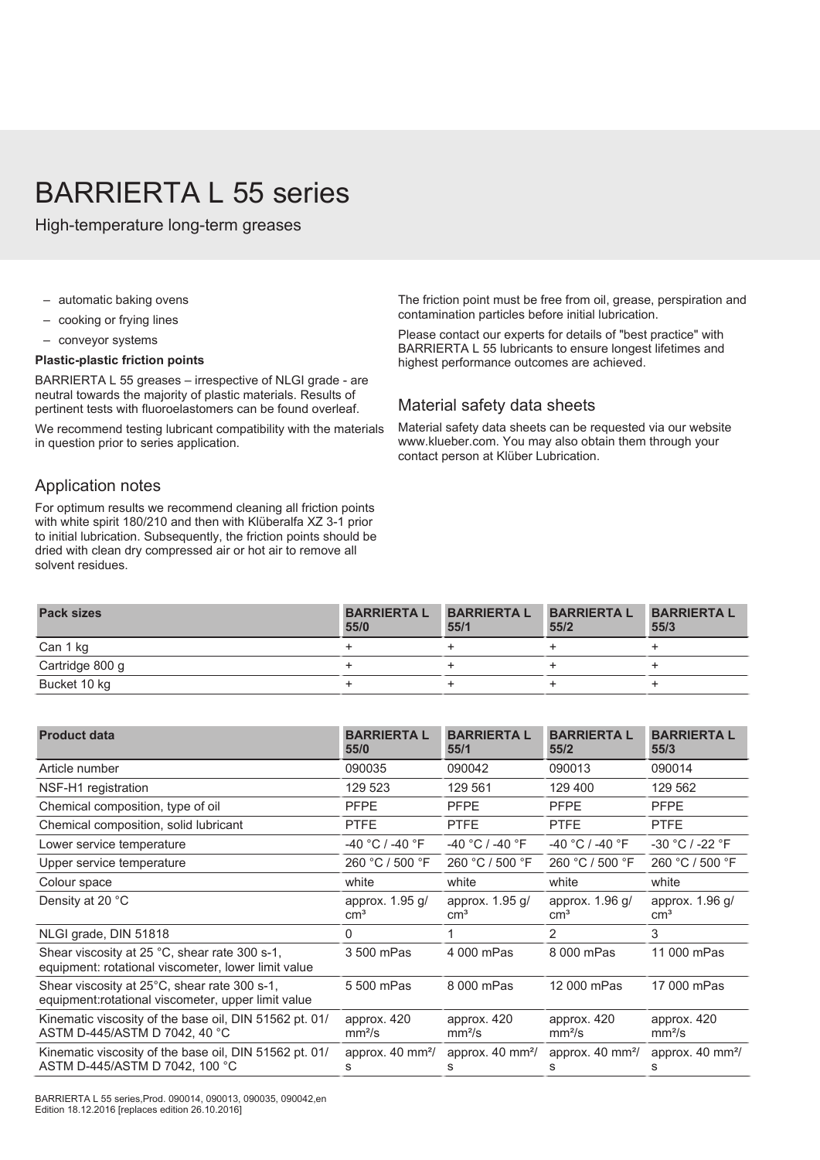# BARRIERTA L 55 series

High-temperature long-term greases

- automatic baking ovens
- cooking or frying lines
- conveyor systems

#### **Plastic-plastic friction points**

BARRIERTA L 55 greases – irrespective of NLGI grade - are neutral towards the majority of plastic materials. Results of pertinent tests with fluoroelastomers can be found overleaf.

We recommend testing lubricant compatibility with the materials in question prior to series application.

### Application notes

For optimum results we recommend cleaning all friction points with white spirit 180/210 and then with Klüberalfa XZ 3-1 prior to initial lubrication. Subsequently, the friction points should be dried with clean dry compressed air or hot air to remove all solvent residues.

The friction point must be free from oil, grease, perspiration and contamination particles before initial lubrication.

Please contact our experts for details of "best practice" with BARRIERTA L 55 lubricants to ensure longest lifetimes and highest performance outcomes are achieved.

### Material safety data sheets

Material safety data sheets can be requested via our website www.klueber.com. You may also obtain them through your contact person at Klüber Lubrication.

| <b>Pack sizes</b> | <b>BARRIERTA L</b><br>55/0 | <b>BARRIERTA L</b><br>55/1 | <b>BARRIERTA L</b><br>55/2 | <b>BARRIERTAL</b><br>55/3 |
|-------------------|----------------------------|----------------------------|----------------------------|---------------------------|
| Can 1 kg          |                            |                            |                            |                           |
| Cartridge 800 g   |                            |                            |                            |                           |
| Bucket 10 kg      |                            |                            |                            |                           |

| <b>BARRIERTA L</b><br>55/0         | <b>BARRIERTA L</b><br>55/1         | <b>BARRIERTA L</b><br>55/2        | <b>BARRIERTA L</b><br>55/3         |  |  |  |  |
|------------------------------------|------------------------------------|-----------------------------------|------------------------------------|--|--|--|--|
| 090035                             | 090042                             | 090013                            | 090014                             |  |  |  |  |
| 129 523                            | 129 561                            | 129 400                           | 129 562                            |  |  |  |  |
| <b>PFPE</b>                        | <b>PFPE</b>                        | <b>PFPE</b>                       | <b>PFPE</b>                        |  |  |  |  |
| <b>PTFE</b>                        | <b>PTFE</b>                        | <b>PTFE</b>                       | <b>PTFE</b>                        |  |  |  |  |
| $-40 °C$ / $-40 °F$                | $-40 °C$ / $-40 °F$                | -40 °C / -40 °F                   | -30 °C / -22 °F                    |  |  |  |  |
| 260 °C / 500 °F                    | 260 °C / 500 °F                    | 260 °C / 500 °F                   | 260 °C / 500 °F                    |  |  |  |  |
| white                              | white                              | white                             | white                              |  |  |  |  |
| approx. $1.95$ g/<br>$\text{cm}^3$ | approx. 1.95 g/<br>cm <sup>3</sup> | approx. 1.96 g/<br>$\text{cm}^3$  | approx. $1.96$ g/<br>$\text{cm}^3$ |  |  |  |  |
| $\Omega$                           |                                    | 2                                 | 3                                  |  |  |  |  |
| 3 500 mPas                         | 4 000 mPas                         | 8 000 mPas                        | 11 000 mPas                        |  |  |  |  |
| 5 500 mPas                         | 8 000 mPas                         | 12 000 mPas                       | 17 000 mPas                        |  |  |  |  |
| approx. 420<br>mm <sup>2</sup> /s  | approx. 420<br>mm <sup>2</sup> /s  | approx. 420<br>mm <sup>2</sup> /s | approx. 420<br>mm <sup>2</sup> /s  |  |  |  |  |
| approx. 40 mm <sup>2</sup> /<br>s  | approx. 40 mm <sup>2</sup> /<br>s  | approx. $40 \text{ mm}^2$ /<br>s  | approx. 40 mm <sup>2</sup> /<br>s  |  |  |  |  |
|                                    |                                    |                                   |                                    |  |  |  |  |

BARRIERTA L 55 series,Prod. 090014, 090013, 090035, 090042,en Edition 18.12.2016 [replaces edition 26.10.2016]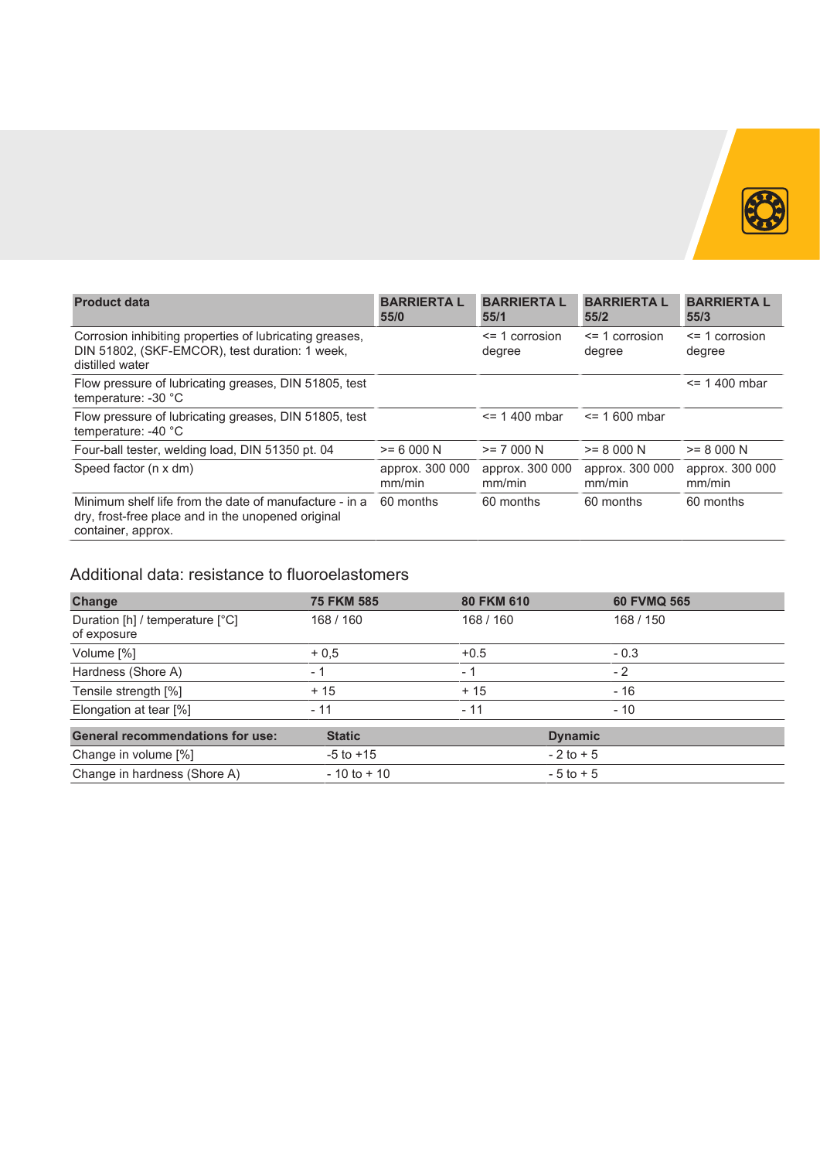

| <b>Product data</b>                                                                                                                | <b>BARRIERTA L</b><br>55/0 | <b>BARRIERTA L</b><br>55/1   | <b>BARRIERTA L</b><br>55/2   | <b>BARRIERTAL</b><br>55/3    |  |  |  |  |
|------------------------------------------------------------------------------------------------------------------------------------|----------------------------|------------------------------|------------------------------|------------------------------|--|--|--|--|
| Corrosion inhibiting properties of lubricating greases.<br>DIN 51802, (SKF-EMCOR), test duration: 1 week,<br>distilled water       |                            | $\leq$ 1 corrosion<br>degree | $\leq$ 1 corrosion<br>degree | $\leq$ 1 corrosion<br>degree |  |  |  |  |
| Flow pressure of lubricating greases, DIN 51805, test<br>temperature: -30 °C                                                       |                            |                              |                              | $= 1400$ mbar                |  |  |  |  |
| Flow pressure of lubricating greases, DIN 51805, test<br>temperature: $-40$ °C                                                     |                            | $\le$ = 1.400 mbar           | $\le$ = 1.600 mbar           |                              |  |  |  |  |
| Four-ball tester, welding load, DIN 51350 pt. 04                                                                                   | $>= 6000 N$                | $>= 7000 N$                  | $>= 8000 N$                  | $>= 8000 N$                  |  |  |  |  |
| Speed factor (n x dm)                                                                                                              | approx. 300 000<br>mm/min  | approx. 300 000<br>mm/min    | approx. 300 000<br>mm/min    | approx. 300 000<br>mm/min    |  |  |  |  |
| Minimum shelf life from the date of manufacture - in a<br>dry, frost-free place and in the unopened original<br>container, approx. | 60 months                  | 60 months                    | 60 months                    | 60 months                    |  |  |  |  |

# Additional data: resistance to fluoroelastomers

| Change                                         | <b>75 FKM 585</b> | 80 FKM 610 | 60 FVMQ 565    |
|------------------------------------------------|-------------------|------------|----------------|
| Duration [h] / temperature [°C]<br>of exposure | 168 / 160         | 168 / 150  |                |
| Volume [%]                                     | $+0.5$            | $+0.5$     | $-0.3$         |
| Hardness (Shore A)                             | $-1$              | - 1        | $-2$           |
| Tensile strength [%]                           | $+15$             | $+15$      | - 16           |
| Elongation at tear [%]                         | $-11$             | - 11       | $-10$          |
| <b>General recommendations for use:</b>        | <b>Static</b>     |            | <b>Dynamic</b> |
| Change in volume [%]                           | $-5$ to $+15$     |            | $-2$ to $+5$   |
| Change in hardness (Shore A)                   | $-10$ to $+10$    |            | $-5$ to $+5$   |